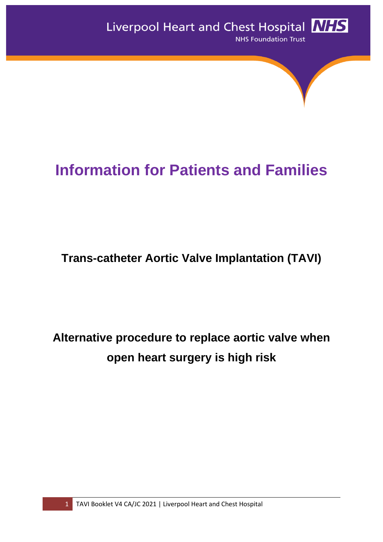# **Information for Patients and Families**

## **Trans-catheter Aortic Valve Implantation (TAVI)**

## **Alternative procedure to replace aortic valve when open heart surgery is high risk**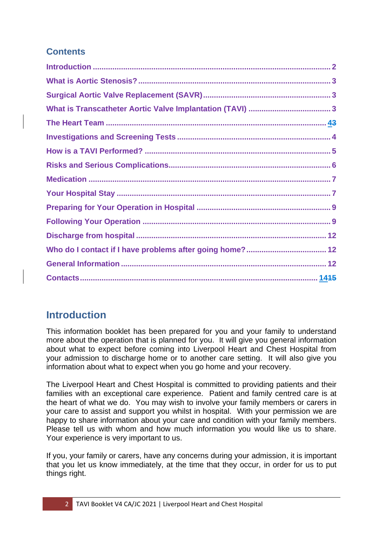## **Contents**

## <span id="page-1-0"></span>**Introduction**

This information booklet has been prepared for you and your family to understand more about the operation that is planned for you. It will give you general information about what to expect before coming into Liverpool Heart and Chest Hospital from your admission to discharge home or to another care setting. It will also give you information about what to expect when you go home and your recovery.

The Liverpool Heart and Chest Hospital is committed to providing patients and their families with an exceptional care experience. Patient and family centred care is at the heart of what we do. You may wish to involve your family members or carers in your care to assist and support you whilst in hospital. With your permission we are happy to share information about your care and condition with your family members. Please tell us with whom and how much information you would like us to share. Your experience is very important to us.

If you, your family or carers, have any concerns during your admission, it is important that you let us know immediately, at the time that they occur, in order for us to put things right.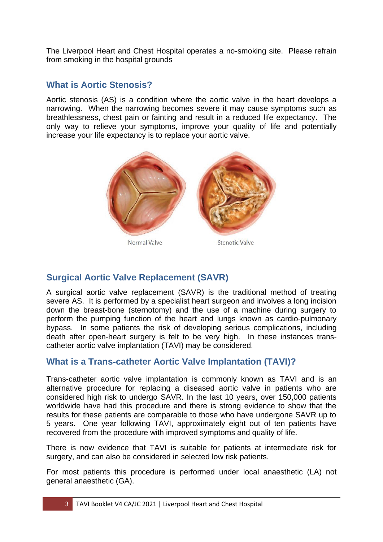The Liverpool Heart and Chest Hospital operates a no-smoking site. Please refrain from smoking in the hospital grounds

## <span id="page-2-0"></span>**What is Aortic Stenosis?**

Aortic stenosis (AS) is a condition where the aortic valve in the heart develops a narrowing. When the narrowing becomes severe it may cause symptoms such as breathlessness, chest pain or fainting and result in a reduced life expectancy. The only way to relieve your symptoms, improve your quality of life and potentially increase your life expectancy is to replace your aortic valve.



## <span id="page-2-1"></span>**Surgical Aortic Valve Replacement (SAVR)**

A surgical aortic valve replacement (SAVR) is the traditional method of treating severe AS. It is performed by a specialist heart surgeon and involves a long incision down the breast-bone (sternotomy) and the use of a machine during surgery to perform the pumping function of the heart and lungs known as cardio-pulmonary bypass. In some patients the risk of developing serious complications, including death after open-heart surgery is felt to be very high. In these instances transcatheter aortic valve implantation (TAVI) may be considered.

## **What is a Trans-catheter Aortic Valve Implantation (TAVI)?**

Trans-catheter aortic valve implantation is commonly known as TAVI and is an alternative procedure for replacing a diseased aortic valve in patients who are considered high risk to undergo SAVR. In the last 10 years, over 150,000 patients worldwide have had this procedure and there is strong evidence to show that the results for these patients are comparable to those who have undergone SAVR up to 5 years. One year following TAVI, approximately eight out of ten patients have recovered from the procedure with improved symptoms and quality of life.

There is now evidence that TAVI is suitable for patients at intermediate risk for surgery, and can also be considered in selected low risk patients.

For most patients this procedure is performed under local anaesthetic (LA) not general anaesthetic (GA).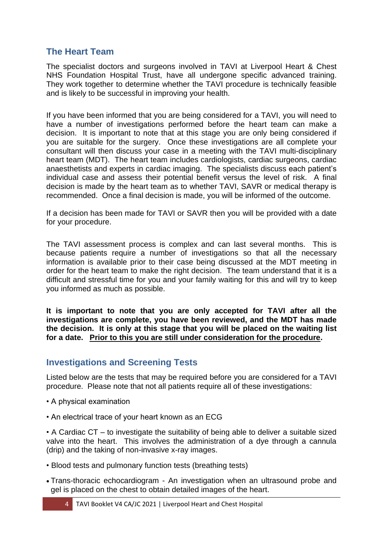### <span id="page-3-0"></span>**The Heart Team**

The specialist doctors and surgeons involved in TAVI at Liverpool Heart & Chest NHS Foundation Hospital Trust, have all undergone specific advanced training. They work together to determine whether the TAVI procedure is technically feasible and is likely to be successful in improving your health.

If you have been informed that you are being considered for a TAVI, you will need to have a number of investigations performed before the heart team can make a decision. It is important to note that at this stage you are only being considered if you are suitable for the surgery. Once these investigations are all complete your consultant will then discuss your case in a meeting with the TAVI multi-disciplinary heart team (MDT). The heart team includes cardiologists, cardiac surgeons, cardiac anaesthetists and experts in cardiac imaging. The specialists discuss each patient's individual case and assess their potential benefit versus the level of risk. A final decision is made by the heart team as to whether TAVI, SAVR or medical therapy is recommended. Once a final decision is made, you will be informed of the outcome.

If a decision has been made for TAVI or SAVR then you will be provided with a date for your procedure.

The TAVI assessment process is complex and can last several months. This is because patients require a number of investigations so that all the necessary information is available prior to their case being discussed at the MDT meeting in order for the heart team to make the right decision. The team understand that it is a difficult and stressful time for you and your family waiting for this and will try to keep you informed as much as possible.

**It is important to note that you are only accepted for TAVI after all the investigations are complete, you have been reviewed, and the MDT has made the decision. It is only at this stage that you will be placed on the waiting list for a date. Prior to this you are still under consideration for the procedure.**

#### <span id="page-3-1"></span>**Investigations and Screening Tests**

Listed below are the tests that may be required before you are considered for a TAVI procedure. Please note that not all patients require all of these investigations:

- A physical examination
- An electrical trace of your heart known as an ECG

• A Cardiac CT – to investigate the suitability of being able to deliver a suitable sized valve into the heart. This involves the administration of a dye through a cannula (drip) and the taking of non-invasive x-ray images.

- Blood tests and pulmonary function tests (breathing tests)
- Trans-thoracic echocardiogram An investigation when an ultrasound probe and gel is placed on the chest to obtain detailed images of the heart.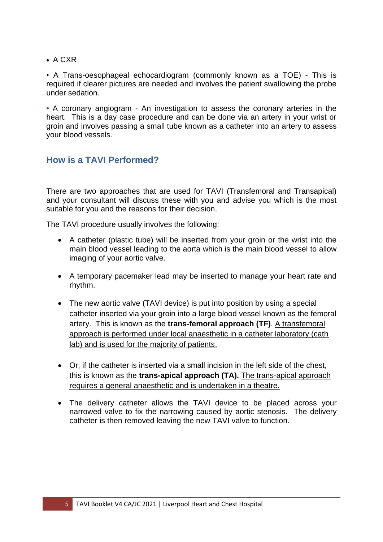• A CXR

• A Trans-oesophageal echocardiogram (commonly known as a TOE) - This is required if clearer pictures are needed and involves the patient swallowing the probe under sedation.

**•** A coronary angiogram - An investigation to assess the coronary arteries in the heart. This is a day case procedure and can be done via an artery in your wrist or groin and involves passing a small tube known as a catheter into an artery to assess your blood vessels.

## <span id="page-4-0"></span>**How is a TAVI Performed?**

There are two approaches that are used for TAVI (Transfemoral and Transapical) and your consultant will discuss these with you and advise you which is the most suitable for you and the reasons for their decision.

The TAVI procedure usually involves the following:

- A catheter (plastic tube) will be inserted from your groin or the wrist into the main blood vessel leading to the aorta which is the main blood vessel to allow imaging of your aortic valve.
- A temporary pacemaker lead may be inserted to manage your heart rate and rhythm.
- The new aortic valve (TAVI device) is put into position by using a special catheter inserted via your groin into a large blood vessel known as the femoral artery. This is known as the **trans-femoral approach (TF)**. A transfemoral approach is performed under local anaesthetic in a catheter laboratory (cath lab) and is used for the majority of patients.
- Or, if the catheter is inserted via a small incision in the left side of the chest, this is known as the **trans-apical approach (TA).** The trans-apical approach requires a general anaesthetic and is undertaken in a theatre.
- The delivery catheter allows the TAVI device to be placed across your narrowed valve to fix the narrowing caused by aortic stenosis. The delivery catheter is then removed leaving the new TAVI valve to function.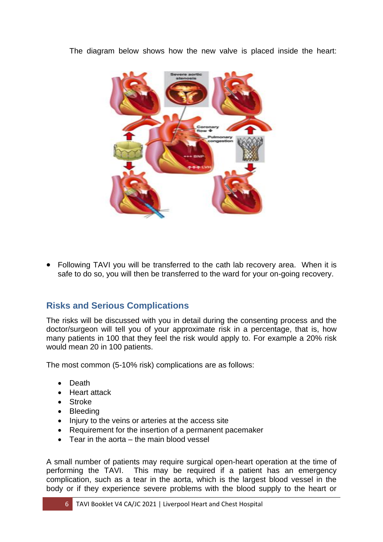The diagram below shows how the new valve is placed inside the heart:



<span id="page-5-0"></span>• Following TAVI you will be transferred to the cath lab recovery area. When it is safe to do so, you will then be transferred to the ward for your on-going recovery.

## **Risks and Serious Complications**

The risks will be discussed with you in detail during the consenting process and the doctor/surgeon will tell you of your approximate risk in a percentage, that is, how many patients in 100 that they feel the risk would apply to. For example a 20% risk would mean 20 in 100 patients.

The most common (5-10% risk) complications are as follows:

- Death
- Heart attack
- Stroke
- Bleeding
- Injury to the veins or arteries at the access site
- Requirement for the insertion of a permanent pacemaker
- Tear in the aorta the main blood vessel

A small number of patients may require surgical open-heart operation at the time of performing the TAVI. This may be required if a patient has an emergency complication, such as a tear in the aorta, which is the largest blood vessel in the body or if they experience severe problems with the blood supply to the heart or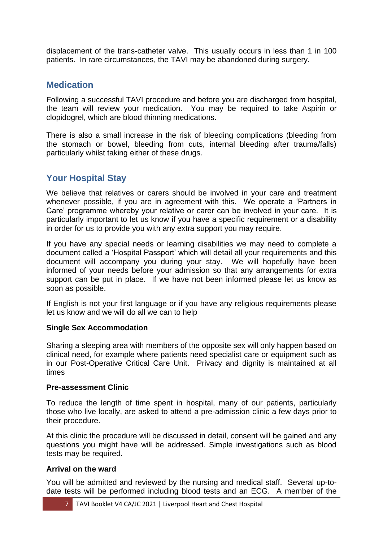displacement of the trans-catheter valve. This usually occurs in less than 1 in 100 patients. In rare circumstances, the TAVI may be abandoned during surgery.

## <span id="page-6-0"></span>**Medication**

Following a successful TAVI procedure and before you are discharged from hospital, the team will review your medication. You may be required to take Aspirin or clopidogrel, which are blood thinning medications.

There is also a small increase in the risk of bleeding complications (bleeding from the stomach or bowel, bleeding from cuts, internal bleeding after trauma/falls) particularly whilst taking either of these drugs.

## <span id="page-6-1"></span>**Your Hospital Stay**

We believe that relatives or carers should be involved in your care and treatment whenever possible, if you are in agreement with this. We operate a 'Partners in Care' programme whereby your relative or carer can be involved in your care. It is particularly important to let us know if you have a specific requirement or a disability in order for us to provide you with any extra support you may require.

If you have any special needs or learning disabilities we may need to complete a document called a 'Hospital Passport' which will detail all your requirements and this document will accompany you during your stay. We will hopefully have been informed of your needs before your admission so that any arrangements for extra support can be put in place. If we have not been informed please let us know as soon as possible.

If English is not your first language or if you have any religious requirements please let us know and we will do all we can to help

#### **Single Sex Accommodation**

Sharing a sleeping area with members of the opposite sex will only happen based on clinical need, for example where patients need specialist care or equipment such as in our Post-Operative Critical Care Unit. Privacy and dignity is maintained at all times

#### **Pre-assessment Clinic**

To reduce the length of time spent in hospital, many of our patients, particularly those who live locally, are asked to attend a pre-admission clinic a few days prior to their procedure.

At this clinic the procedure will be discussed in detail, consent will be gained and any questions you might have will be addressed. Simple investigations such as blood tests may be required.

#### **Arrival on the ward**

You will be admitted and reviewed by the nursing and medical staff. Several up-todate tests will be performed including blood tests and an ECG. A member of the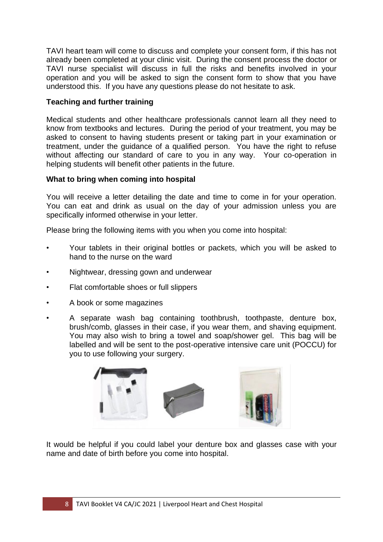TAVI heart team will come to discuss and complete your consent form, if this has not already been completed at your clinic visit. During the consent process the doctor or TAVI nurse specialist will discuss in full the risks and benefits involved in your operation and you will be asked to sign the consent form to show that you have understood this. If you have any questions please do not hesitate to ask.

#### **Teaching and further training**

Medical students and other healthcare professionals cannot learn all they need to know from textbooks and lectures. During the period of your treatment, you may be asked to consent to having students present or taking part in your examination or treatment, under the guidance of a qualified person. You have the right to refuse without affecting our standard of care to you in any way. Your co-operation in helping students will benefit other patients in the future.

#### **What to bring when coming into hospital**

You will receive a letter detailing the date and time to come in for your operation. You can eat and drink as usual on the day of your admission unless you are specifically informed otherwise in your letter.

Please bring the following items with you when you come into hospital:

- Your tablets in their original bottles or packets, which you will be asked to hand to the nurse on the ward
- Nightwear, dressing gown and underwear
- Flat comfortable shoes or full slippers
- A book or some magazines
- A separate wash bag containing toothbrush, toothpaste, denture box, brush/comb, glasses in their case, if you wear them, and shaving equipment. You may also wish to bring a towel and soap/shower gel. This bag will be labelled and will be sent to the post-operative intensive care unit (POCCU) for you to use following your surgery.



It would be helpful if you could label your denture box and glasses case with your name and date of birth before you come into hospital.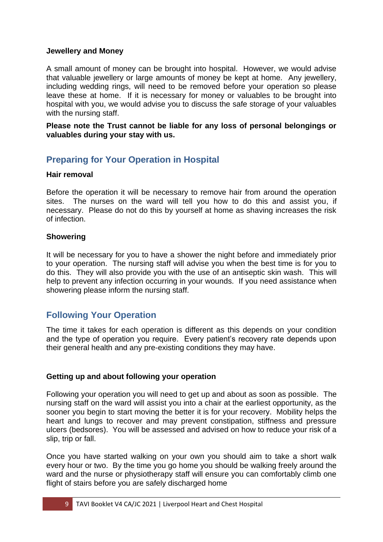#### **Jewellery and Money**

A small amount of money can be brought into hospital. However, we would advise that valuable jewellery or large amounts of money be kept at home. Any jewellery, including wedding rings, will need to be removed before your operation so please leave these at home. If it is necessary for money or valuables to be brought into hospital with you, we would advise you to discuss the safe storage of your valuables with the nursing staff.

**Please note the Trust cannot be liable for any loss of personal belongings or valuables during your stay with us.**

## <span id="page-8-0"></span>**Preparing for Your Operation in Hospital**

#### **Hair removal**

Before the operation it will be necessary to remove hair from around the operation sites. The nurses on the ward will tell you how to do this and assist you, if necessary. Please do not do this by yourself at home as shaving increases the risk of infection.

#### **Showering**

It will be necessary for you to have a shower the night before and immediately prior to your operation. The nursing staff will advise you when the best time is for you to do this. They will also provide you with the use of an antiseptic skin wash. This will help to prevent any infection occurring in your wounds. If you need assistance when showering please inform the nursing staff.

#### <span id="page-8-1"></span>**Following Your Operation**

The time it takes for each operation is different as this depends on your condition and the type of operation you require. Every patient's recovery rate depends upon their general health and any pre-existing conditions they may have.

#### **Getting up and about following your operation**

Following your operation you will need to get up and about as soon as possible. The nursing staff on the ward will assist you into a chair at the earliest opportunity, as the sooner you begin to start moving the better it is for your recovery. Mobility helps the heart and lungs to recover and may prevent constipation, stiffness and pressure ulcers (bedsores). You will be assessed and advised on how to reduce your risk of a slip, trip or fall.

Once you have started walking on your own you should aim to take a short walk every hour or two. By the time you go home you should be walking freely around the ward and the nurse or physiotherapy staff will ensure you can comfortably climb one flight of stairs before you are safely discharged home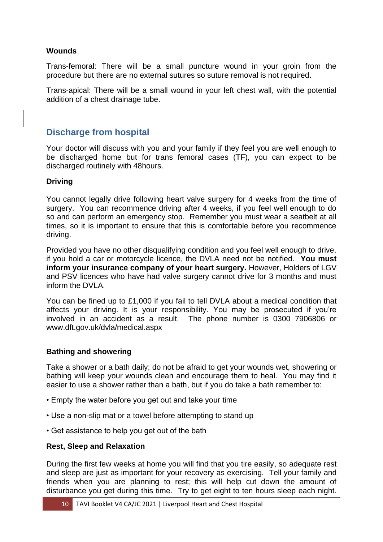#### **Wounds**

Trans-femoral: There will be a small puncture wound in your groin from the procedure but there are no external sutures so suture removal is not required.

Trans-apical: There will be a small wound in your left chest wall, with the potential addition of a chest drainage tube.

### **Discharge from hospital**

Your doctor will discuss with you and your family if they feel you are well enough to be discharged home but for trans femoral cases (TF), you can expect to be discharged routinely with 48hours.

#### **Driving**

You cannot legally drive following heart valve surgery for 4 weeks from the time of surgery. You can recommence driving after 4 weeks, if you feel well enough to do so and can perform an emergency stop. Remember you must wear a seatbelt at all times, so it is important to ensure that this is comfortable before you recommence driving.

Provided you have no other disqualifying condition and you feel well enough to drive, if you hold a car or motorcycle licence, the DVLA need not be notified. **You must inform your insurance company of your heart surgery.** However, Holders of LGV and PSV licences who have had valve surgery cannot drive for 3 months and must inform the DVLA.

You can be fined up to £1,000 if you fail to tell DVLA about a medical condition that affects your driving. It is your responsibility. You may be prosecuted if you're involved in an accident as a result. The phone number is 0300 7906806 or www.dft.gov.uk/dvla/medical.aspx

#### **Bathing and showering**

Take a shower or a bath daily; do not be afraid to get your wounds wet, showering or bathing will keep your wounds clean and encourage them to heal. You may find it easier to use a shower rather than a bath, but if you do take a bath remember to:

- Empty the water before you get out and take your time
- Use a non-slip mat or a towel before attempting to stand up
- Get assistance to help you get out of the bath

#### **Rest, Sleep and Relaxation**

During the first few weeks at home you will find that you tire easily, so adequate rest and sleep are just as important for your recovery as exercising. Tell your family and friends when you are planning to rest; this will help cut down the amount of disturbance you get during this time. Try to get eight to ten hours sleep each night.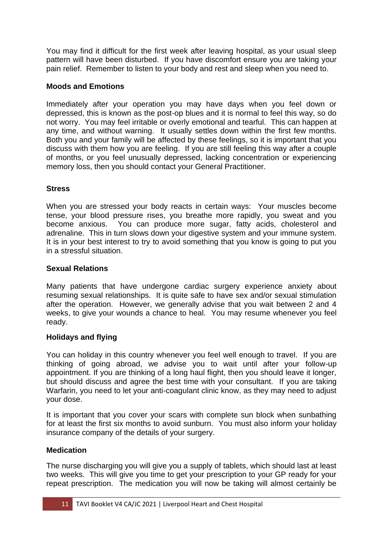You may find it difficult for the first week after leaving hospital, as your usual sleep pattern will have been disturbed. If you have discomfort ensure you are taking your pain relief. Remember to listen to your body and rest and sleep when you need to.

#### **Moods and Emotions**

Immediately after your operation you may have days when you feel down or depressed, this is known as the post-op blues and it is normal to feel this way, so do not worry. You may feel irritable or overly emotional and tearful. This can happen at any time, and without warning. It usually settles down within the first few months. Both you and your family will be affected by these feelings, so it is important that you discuss with them how you are feeling. If you are still feeling this way after a couple of months, or you feel unusually depressed, lacking concentration or experiencing memory loss, then you should contact your General Practitioner.

#### **Stress**

When you are stressed your body reacts in certain ways: Your muscles become tense, your blood pressure rises, you breathe more rapidly, you sweat and you become anxious. You can produce more sugar, fatty acids, cholesterol and adrenaline. This in turn slows down your digestive system and your immune system. It is in your best interest to try to avoid something that you know is going to put you in a stressful situation.

#### **Sexual Relations**

Many patients that have undergone cardiac surgery experience anxiety about resuming sexual relationships. It is quite safe to have sex and/or sexual stimulation after the operation. However, we generally advise that you wait between 2 and 4 weeks, to give your wounds a chance to heal. You may resume whenever you feel ready.

#### **Holidays and flying**

You can holiday in this country whenever you feel well enough to travel. If you are thinking of going abroad, we advise you to wait until after your follow-up appointment. If you are thinking of a long haul flight, then you should leave it longer, but should discuss and agree the best time with your consultant. If you are taking Warfarin, you need to let your anti-coagulant clinic know, as they may need to adjust your dose.

It is important that you cover your scars with complete sun block when sunbathing for at least the first six months to avoid sunburn. You must also inform your holiday insurance company of the details of your surgery.

#### **Medication**

The nurse discharging you will give you a supply of tablets, which should last at least two weeks. This will give you time to get your prescription to your GP ready for your repeat prescription. The medication you will now be taking will almost certainly be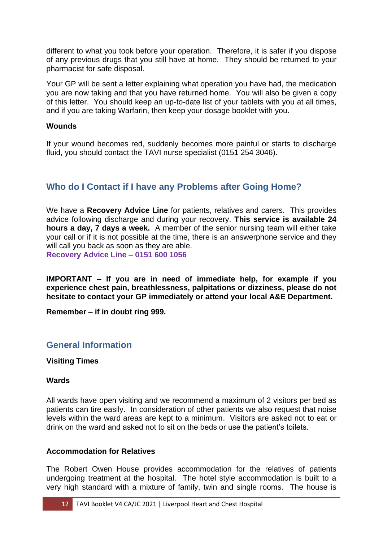different to what you took before your operation. Therefore, it is safer if you dispose of any previous drugs that you still have at home. They should be returned to your pharmacist for safe disposal.

Your GP will be sent a letter explaining what operation you have had, the medication you are now taking and that you have returned home. You will also be given a copy of this letter. You should keep an up-to-date list of your tablets with you at all times, and if you are taking Warfarin, then keep your dosage booklet with you.

#### **Wounds**

If your wound becomes red, suddenly becomes more painful or starts to discharge fluid, you should contact the TAVI nurse specialist (0151 254 3046).

## **Who do I Contact if I have any Problems after Going Home?**

We have a **Recovery Advice Line** for patients, relatives and carers. This provides advice following discharge and during your recovery. **This service is available 24 hours a day, 7 days a week.** A member of the senior nursing team will either take your call or if it is not possible at the time, there is an answerphone service and they will call you back as soon as they are able. **Recovery Advice Line – 0151 600 1056**

**IMPORTANT – If you are in need of immediate help, for example if you experience chest pain, breathlessness, palpitations or dizziness, please do not hesitate to contact your GP immediately or attend your local A&E Department.** 

<span id="page-11-0"></span>**Remember – if in doubt ring 999.**

#### **General Information**

#### **Visiting Times**

#### **Wards**

All wards have open visiting and we recommend a maximum of 2 visitors per bed as patients can tire easily. In consideration of other patients we also request that noise levels within the ward areas are kept to a minimum. Visitors are asked not to eat or drink on the ward and asked not to sit on the beds or use the patient's toilets.

#### **Accommodation for Relatives**

The Robert Owen House provides accommodation for the relatives of patients undergoing treatment at the hospital. The hotel style accommodation is built to a very high standard with a mixture of family, twin and single rooms. The house is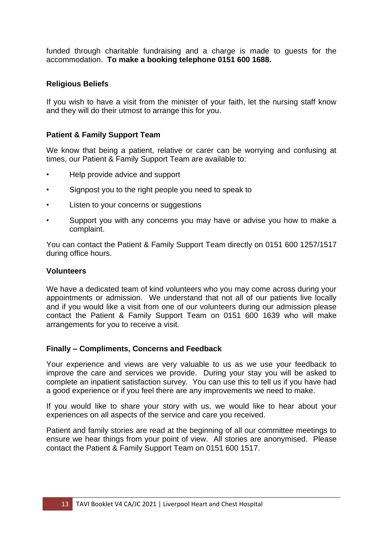funded through charitable fundraising and a charge is made to guests for the accommodation. **To make a booking telephone 0151 600 1688.** 

#### **Religious Beliefs**

If you wish to have a visit from the minister of your faith, let the nursing staff know and they will do their utmost to arrange this for you.

#### **Patient & Family Support Team**

We know that being a patient, relative or carer can be worrying and confusing at times, our Patient & Family Support Team are available to:

- Help provide advice and support
- Signpost you to the right people you need to speak to
- Listen to your concerns or suggestions
- Support you with any concerns you may have or advise you how to make a complaint.

You can contact the Patient & Family Support Team directly on 0151 600 1257/1517 during office hours.

#### **Volunteers**

We have a dedicated team of kind volunteers who you may come across during your appointments or admission. We understand that not all of our patients live locally and if you would like a visit from one of our volunteers during our admission please contact the Patient & Family Support Team on 0151 600 1639 who will make arrangements for you to receive a visit.

#### **Finally – Compliments, Concerns and Feedback**

Your experience and views are very valuable to us as we use your feedback to improve the care and services we provide. During your stay you will be asked to complete an inpatient satisfaction survey. You can use this to tell us if you have had a good experience or if you feel there are any improvements we need to make.

If you would like to share your story with us, we would like to hear about your experiences on all aspects of the service and care you received.

<span id="page-12-0"></span>Patient and family stories are read at the beginning of all our committee meetings to ensure we hear things from your point of view. All stories are anonymised. Please contact the Patient & Family Support Team on 0151 600 1517.